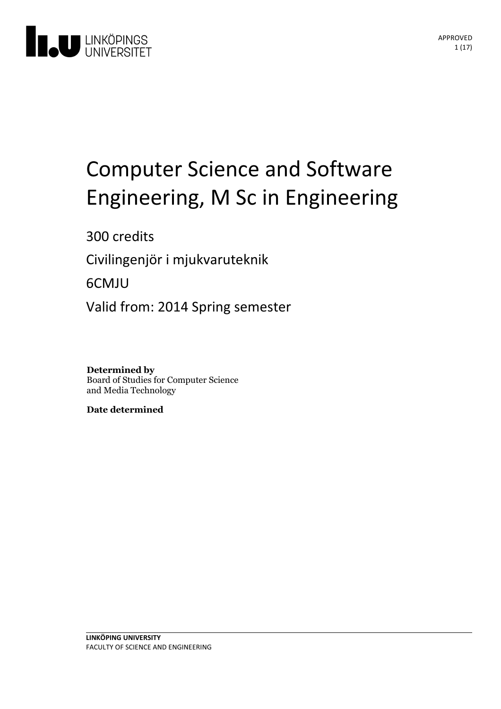

# Computer Science and Software Engineering, M Sc in Engineering

300 credits

Civilingenjör i mjukvaruteknik

6CMJU

Valid from: 2014 Spring semester

**Determined by** Board of Studies for Computer Science and Media Technology

**Date determined**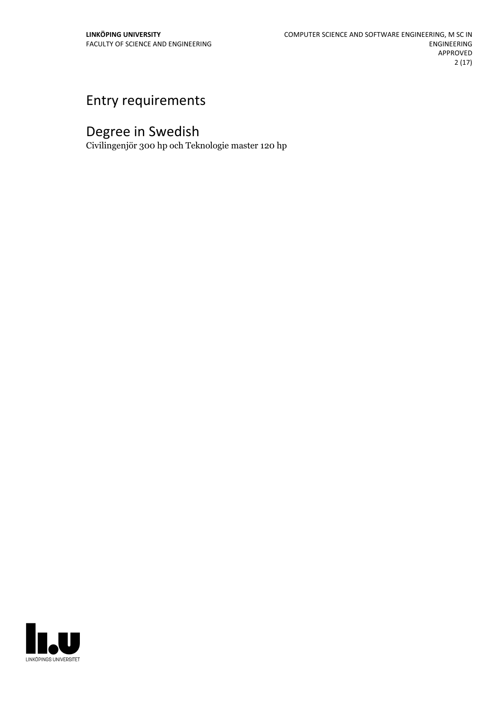## Entry requirements

## Degree in Swedish

Civilingenjör 300 hp och Teknologie master 120 hp

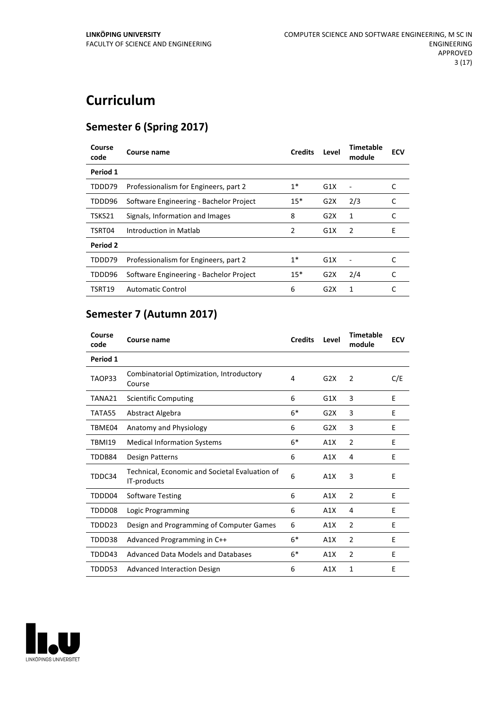## **Curriculum**

### **Semester 6 (Spring 2017)**

| Course<br>code | Course name                             | <b>Credits</b> | Level            | <b>Timetable</b><br>module | <b>ECV</b> |
|----------------|-----------------------------------------|----------------|------------------|----------------------------|------------|
| Period 1       |                                         |                |                  |                            |            |
| TDDD79         | Professionalism for Engineers, part 2   | $1^*$          | G1X              |                            |            |
| TDDD96         | Software Engineering - Bachelor Project | $15*$          | G2X              | 2/3                        | C          |
| TSKS21         | Signals, Information and Images         | 8              | G2X              | 1                          |            |
| TSRT04         | Introduction in Matlab                  | 2              | G1X              | 2                          | F          |
| Period 2       |                                         |                |                  |                            |            |
| TDDD79         | Professionalism for Engineers, part 2   | $1*$           | G1X              |                            |            |
| TDDD96         | Software Engineering - Bachelor Project | $15*$          | G2X              | 2/4                        | C          |
| TSRT19         | Automatic Control                       | 6              | G <sub>2</sub> X | 1                          |            |

## **Semester 7 (Autumn 2017)**

| Course<br>code | Course name                                                   | <b>Credits</b> | Level | <b>Timetable</b><br>module | <b>ECV</b> |
|----------------|---------------------------------------------------------------|----------------|-------|----------------------------|------------|
| Period 1       |                                                               |                |       |                            |            |
| TAOP33         | Combinatorial Optimization, Introductory<br>Course            | 4              | G2X   | $\overline{2}$             | C/E        |
| TANA21         | <b>Scientific Computing</b>                                   | 6              | G1X   | 3                          | E          |
| TATA55         | Abstract Algebra                                              | $6*$           | G2X   | 3                          | E          |
| TBME04         | Anatomy and Physiology                                        | 6              | G2X   | 3                          | E          |
| <b>TBMI19</b>  | <b>Medical Information Systems</b>                            | $6*$           | A1X   | $\overline{2}$             | E          |
| TDDB84         | Design Patterns                                               | 6              | A1X   | 4                          | E          |
| TDDC34         | Technical, Economic and Societal Evaluation of<br>IT-products | 6              | A1X   | 3                          | E          |
| TDDD04         | <b>Software Testing</b>                                       | 6              | A1X   | $\overline{2}$             | E          |
| TDDD08         | Logic Programming                                             | 6              | A1X   | 4                          | F          |
| TDDD23         | Design and Programming of Computer Games                      | 6              | A1X   | $\overline{2}$             | E          |
| TDDD38         | Advanced Programming in C++                                   | $6*$           | A1X   | $\overline{2}$             | E          |
| TDDD43         | Advanced Data Models and Databases                            | $6*$           | A1X   | $\overline{2}$             | E          |
| TDDD53         | Advanced Interaction Design                                   | 6              | A1X   | 1                          | E          |

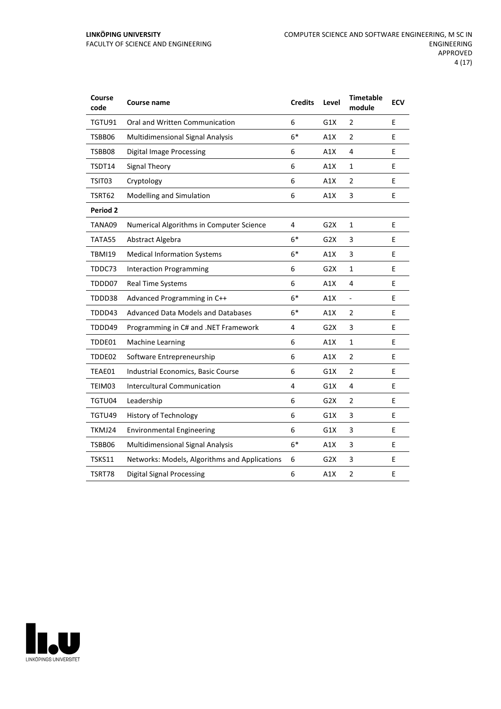| Course<br>code | Course name                                   | <b>Credits</b> | Level            | <b>Timetable</b><br>module | <b>ECV</b> |
|----------------|-----------------------------------------------|----------------|------------------|----------------------------|------------|
| TGTU91         | Oral and Written Communication                | 6              | G1X              | 2                          | E          |
| TSBB06         | <b>Multidimensional Signal Analysis</b>       | $6*$           | A1X              | $\overline{2}$             | E          |
| TSBB08         | <b>Digital Image Processing</b>               | 6              | A1X              | 4                          | E          |
| TSDT14         | Signal Theory                                 | 6              | A1X              | 1                          | E          |
| TSIT03         | Cryptology                                    | 6              | A1X              | $\overline{2}$             | E          |
| TSRT62         | Modelling and Simulation                      | 6              | A1X              | 3                          | E          |
| Period 2       |                                               |                |                  |                            |            |
| TANA09         | Numerical Algorithms in Computer Science      | 4              | G <sub>2</sub> X | $\mathbf{1}$               | E          |
| TATA55         | Abstract Algebra                              | $6*$           | G <sub>2</sub> X | 3                          | E          |
| <b>TBMI19</b>  | <b>Medical Information Systems</b>            | $6*$           | A1X              | 3                          | E          |
| TDDC73         | <b>Interaction Programming</b>                | 6              | G <sub>2</sub> X | $\mathbf{1}$               | E          |
| TDDD07         | Real Time Systems                             | 6              | A1X              | 4                          | E          |
| TDDD38         | Advanced Programming in C++                   | $6*$           | A1X              | $\frac{1}{2}$              | E          |
| TDDD43         | Advanced Data Models and Databases            | $6*$           | A1X              | 2                          | Е          |
| TDDD49         | Programming in C# and .NET Framework          | 4              | G <sub>2</sub> X | 3                          | E          |
| TDDE01         | <b>Machine Learning</b>                       | 6              | A1X              | $\mathbf{1}$               | E          |
| TDDE02         | Software Entrepreneurship                     | 6              | A1X              | 2                          | E          |
| TEAE01         | Industrial Economics, Basic Course            | 6              | G1X              | $\overline{2}$             | E          |
| TEIM03         | Intercultural Communication                   | 4              | G1X              | 4                          | E          |
| TGTU04         | Leadership                                    | 6              | G <sub>2</sub> X | $\overline{2}$             | E          |
| TGTU49         | History of Technology                         | 6              | G1X              | 3                          | E          |
| TKMJ24         | <b>Environmental Engineering</b>              | 6              | G1X              | $\ensuremath{\mathsf{3}}$  | E          |
| TSBB06         | Multidimensional Signal Analysis              | $6*$           | A1X              | 3                          | E          |
| TSKS11         | Networks: Models, Algorithms and Applications | 6              | G2X              | 3                          | E          |
| TSRT78         | <b>Digital Signal Processing</b>              | 6              | A1X              | $\overline{2}$             | E          |

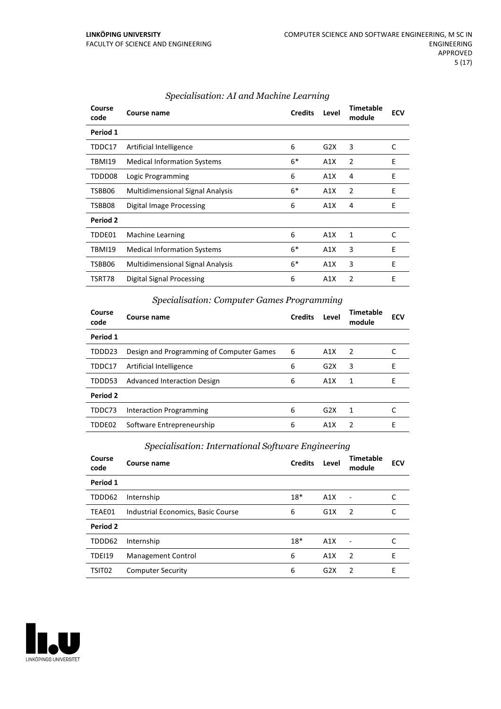| Course<br>code | Course name                             | <b>Credits</b> | Level | <b>Timetable</b><br>module | <b>ECV</b> |
|----------------|-----------------------------------------|----------------|-------|----------------------------|------------|
| Period 1       |                                         |                |       |                            |            |
| TDDC17         | Artificial Intelligence                 | 6              | G2X   | 3                          | C          |
| <b>TBMI19</b>  | <b>Medical Information Systems</b>      | $6*$           | A1X   | 2                          | E          |
| TDDD08         | Logic Programming                       | 6              | A1X   | 4                          | E          |
| TSBB06         | Multidimensional Signal Analysis        | $6*$           | A1X   | 2                          | E          |
| TSBB08         | Digital Image Processing                | 6              | A1X   | 4                          | E          |
| Period 2       |                                         |                |       |                            |            |
| TDDE01         | Machine Learning                        | 6              | A1X   | 1                          | C          |
| TBMI19         | <b>Medical Information Systems</b>      | $6*$           | A1X   | 3                          | E          |
| TSBB06         | <b>Multidimensional Signal Analysis</b> | $6*$           | A1X   | 3                          | E          |
| TSRT78         | Digital Signal Processing               | 6              | A1X   | $\overline{2}$             | Е          |

#### *Specialisation: AI and Machine Learning*

#### *Specialisation: Computer Games Programming*

| Course<br>code | Course name                              | <b>Credits</b> | Level | <b>Timetable</b><br>module | <b>ECV</b> |
|----------------|------------------------------------------|----------------|-------|----------------------------|------------|
| Period 1       |                                          |                |       |                            |            |
| TDDD23         | Design and Programming of Computer Games | 6              | A1X   | $\overline{2}$             |            |
| TDDC17         | Artificial Intelligence                  | 6              | G2X   | 3                          | F          |
| TDDD53         | Advanced Interaction Design              | 6              | A1X   | $\mathbf 1$                | F          |
| Period 2       |                                          |                |       |                            |            |
| TDDC73         | <b>Interaction Programming</b>           | 6              | G2X   | 1                          |            |
| TDDE02         | Software Entrepreneurship                | 6              | A1X   | $\overline{2}$             | F          |

#### *Specialisation: International Software Engineering*

| Course<br>code     | Course name                        | <b>Credits</b> | Level | Timetable<br>module | <b>ECV</b> |
|--------------------|------------------------------------|----------------|-------|---------------------|------------|
| Period 1           |                                    |                |       |                     |            |
| TDDD62             | Internship                         | $18*$          | A1X   |                     |            |
| TEAE01             | Industrial Economics, Basic Course | 6              | G1X   | $\overline{2}$      | C          |
| Period 2           |                                    |                |       |                     |            |
| TDDD62             | Internship                         | $18*$          | A1X   |                     |            |
| <b>TDEI19</b>      | Management Control                 | 6              | A1X   | $\overline{2}$      | E          |
| TSIT <sub>02</sub> | <b>Computer Security</b>           | 6              | G2X   | $\overline{2}$      | E          |

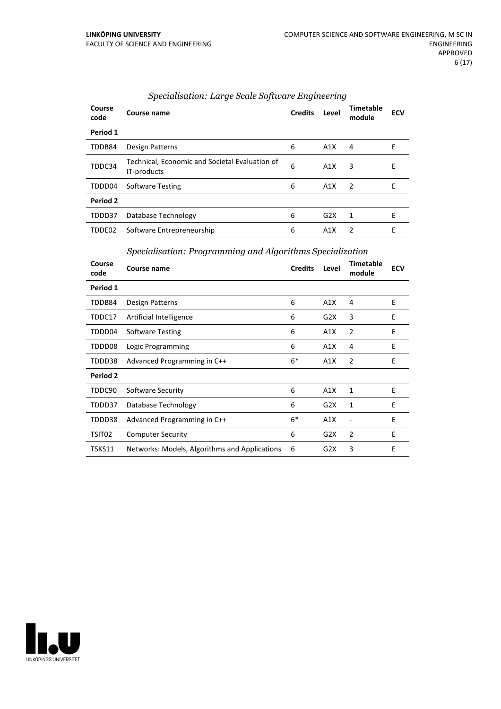| Course<br>code | Course name                                                   | <b>Credits</b> | Level            | <b>Timetable</b><br>module | <b>ECV</b> |
|----------------|---------------------------------------------------------------|----------------|------------------|----------------------------|------------|
| Period 1       |                                                               |                |                  |                            |            |
| TDDB84         | Design Patterns                                               | 6              | A1X              | 4                          | E          |
| TDDC34         | Technical, Economic and Societal Evaluation of<br>IT-products | 6              | A1X              | 3                          | E          |
| TDDD04         | <b>Software Testing</b>                                       | 6              | A1X              | $\overline{2}$             | E          |
| Period 2       |                                                               |                |                  |                            |            |
| TDDD37         | Database Technology                                           | 6              | G2X              | 1                          | E          |
| TDDE02         | Software Entrepreneurship                                     | 6              | A <sub>1</sub> X | 2                          | E          |

#### *Specialisation: Large Scale Software Engineering*

*Specialisation: Programming and Algorithms Specialization*

| Course<br>code | Course name                                   | <b>Credits</b> | Level | <b>Timetable</b><br>module | <b>ECV</b> |
|----------------|-----------------------------------------------|----------------|-------|----------------------------|------------|
| Period 1       |                                               |                |       |                            |            |
| TDDB84         | Design Patterns                               | 6              | A1X   | 4                          | E          |
| TDDC17         | Artificial Intelligence                       | 6              | G2X   | 3                          | E          |
| TDDD04         | Software Testing                              | 6              | A1X   | 2                          | E          |
| TDDD08         | Logic Programming                             | 6              | A1X   | 4                          | E          |
| TDDD38         | Advanced Programming in C++                   | $6*$           | A1X   | 2                          | E          |
| Period 2       |                                               |                |       |                            |            |
| TDDC90         | Software Security                             | 6              | A1X   | 1                          | E          |
| TDDD37         | Database Technology                           | 6              | G2X   | 1                          | E          |
| TDDD38         | Advanced Programming in C++                   | $6*$           | A1X   |                            | E          |
| TSIT02         | <b>Computer Security</b>                      | 6              | G2X   | $\overline{2}$             | E          |
| TSKS11         | Networks: Models, Algorithms and Applications | 6              | G2X   | 3                          | E          |

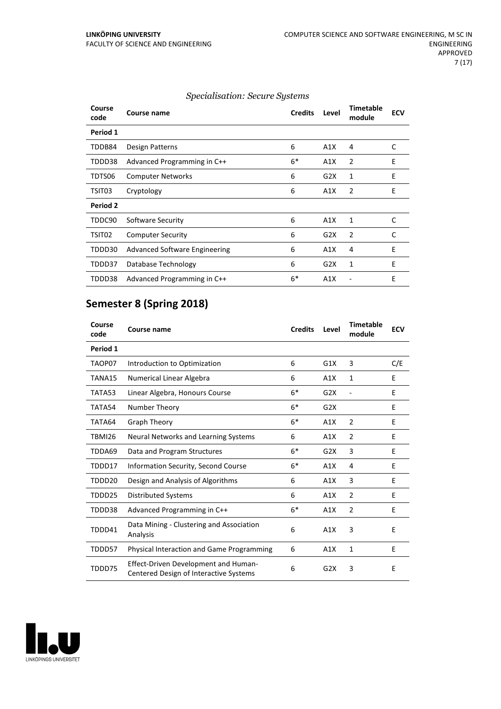**Course**

|             | Specialisation: Secure Systems |                |       |                     |            |  |
|-------------|--------------------------------|----------------|-------|---------------------|------------|--|
| Course name |                                | <b>Credits</b> | Level | Timetable<br>module | <b>ECV</b> |  |

| course<br>code | Course name                          | <b>Credits</b> | Level | Timetable<br>module | <b>ECV</b> |
|----------------|--------------------------------------|----------------|-------|---------------------|------------|
| Period 1       |                                      |                |       |                     |            |
| TDDB84         | Design Patterns                      | 6              | A1X   | 4                   | C          |
| TDDD38         | Advanced Programming in C++          | $6*$           | A1X   | $\overline{2}$      | E          |
| TDTS06         | <b>Computer Networks</b>             | 6              | G2X   | 1                   | E          |
| TSIT03         | Cryptology                           | 6              | A1X   | $\overline{2}$      | E          |
| Period 2       |                                      |                |       |                     |            |
| TDDC90         | Software Security                    | 6              | A1X   | $\mathbf{1}$        | C          |
| TSIT02         | <b>Computer Security</b>             | 6              | G2X   | $\overline{2}$      | C          |
| TDDD30         | <b>Advanced Software Engineering</b> | 6              | A1X   | 4                   | E          |
| TDDD37         | Database Technology                  | 6              | G2X   | 1                   | E          |
| TDDD38         | Advanced Programming in C++          | $6*$           | A1X   |                     | E          |
|                |                                      |                |       |                     |            |

## **Semester 8 (Spring 2018)**

| Course<br>code | <b>Course name</b>                                                                    | <b>Credits</b> | Level | <b>Timetable</b><br>module | <b>ECV</b> |
|----------------|---------------------------------------------------------------------------------------|----------------|-------|----------------------------|------------|
| Period 1       |                                                                                       |                |       |                            |            |
| TAOP07         | Introduction to Optimization                                                          | 6              | G1X   | 3                          | C/E        |
| TANA15         | Numerical Linear Algebra                                                              | 6              | A1X   | 1                          | E          |
| TATA53         | Linear Algebra, Honours Course                                                        | $6*$           | G2X   |                            | E          |
| TATA54         | Number Theory                                                                         | $6*$           | G2X   |                            | Е          |
| TATA64         | <b>Graph Theory</b>                                                                   | $6*$           | A1X   | 2                          | E          |
| <b>TBMI26</b>  | Neural Networks and Learning Systems                                                  | 6              | A1X   | $\overline{2}$             | E          |
| TDDA69         | Data and Program Structures                                                           | $6*$           | G2X   | 3                          | E          |
| TDDD17         | Information Security, Second Course                                                   | $6*$           | A1X   | 4                          | E          |
| TDDD20         | Design and Analysis of Algorithms                                                     | 6              | A1X   | 3                          | E          |
| TDDD25         | <b>Distributed Systems</b>                                                            | 6              | A1X   | 2                          | E          |
| TDDD38         | Advanced Programming in C++                                                           | $6*$           | A1X   | $\overline{2}$             | E          |
| TDDD41         | Data Mining - Clustering and Association<br>Analysis                                  | 6              | A1X   | 3                          | E          |
| TDDD57         | <b>Physical Interaction and Game Programming</b>                                      | 6              | A1X   | $\mathbf{1}$               | E          |
| TDDD75         | <b>Effect-Driven Development and Human-</b><br>Centered Design of Interactive Systems | 6              | G2X   | 3                          | Е          |

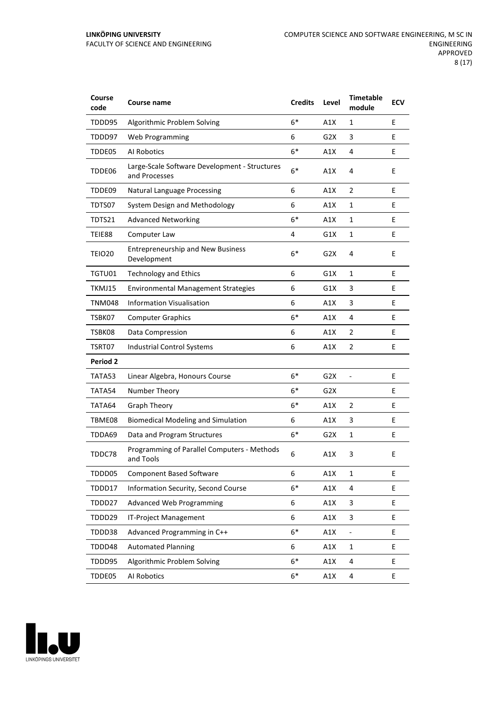| Course<br>code     | Course name                                                    | <b>Credits</b> | Level            | <b>Timetable</b><br>module | <b>ECV</b> |
|--------------------|----------------------------------------------------------------|----------------|------------------|----------------------------|------------|
| TDDD95             | Algorithmic Problem Solving                                    | $6*$           | A1X              | 1                          | E          |
| TDDD97             | Web Programming                                                | 6              | G2X              | 3                          | E          |
| TDDE05             | Al Robotics                                                    | $6*$           | A1X              | 4                          | E          |
| TDDE06             | Large-Scale Software Development - Structures<br>and Processes | $6*$           | A1X              | 4                          | E          |
| TDDE09             | <b>Natural Language Processing</b>                             | 6              | A1X              | 2                          | E          |
| TDTS07             | System Design and Methodology                                  | 6              | A1X              | 1                          | E          |
| TDTS21             | <b>Advanced Networking</b>                                     | $6*$           | A1X              | 1                          | E          |
| TEIE88             | Computer Law                                                   | 4              | G1X              | $\mathbf{1}$               | E          |
| TEIO <sub>20</sub> | <b>Entrepreneurship and New Business</b><br>Development        | $6*$           | G <sub>2</sub> X | 4                          | E          |
| TGTU01             | <b>Technology and Ethics</b>                                   | 6              | G1X              | $\mathbf{1}$               | E          |
| TKMJ15             | <b>Environmental Management Strategies</b>                     | 6              | G1X              | 3                          | E          |
| <b>TNM048</b>      | <b>Information Visualisation</b>                               | 6              | A1X              | 3                          | E          |
| TSBK07             | <b>Computer Graphics</b>                                       | $6*$           | A1X              | 4                          | E          |
| TSBK08             | Data Compression                                               | 6              | A1X              | 2                          | E          |
| TSRT07             | Industrial Control Systems                                     | 6              | A1X              | 2                          | E          |
| Period 2           |                                                                |                |                  |                            |            |
| TATA53             | Linear Algebra, Honours Course                                 | $6*$           | G <sub>2</sub> X |                            | E          |
| TATA54             | Number Theory                                                  | $6*$           | G <sub>2</sub> X |                            | E          |
| TATA64             | <b>Graph Theory</b>                                            | $6*$           | A1X              | $\overline{2}$             | E          |
| TBME08             | <b>Biomedical Modeling and Simulation</b>                      | 6              | A1X              | 3                          | Ε          |
| TDDA69             | Data and Program Structures                                    | $6*$           | G2X              | $\mathbf{1}$               | Ε          |
| TDDC78             | Programming of Parallel Computers - Methods<br>and Tools       | 6              | A1X              | 3                          | Ε          |
| TDDD05             | <b>Component Based Software</b>                                | 6              | A1X              | 1                          | Е          |
| TDDD17             | Information Security, Second Course                            | $6*$           | A1X              | 4                          | E          |
| TDDD27             | <b>Advanced Web Programming</b>                                | 6              | A1X              | 3                          | E          |
| TDDD29             | IT-Project Management                                          | 6              | A1X              | 3                          | E.         |
| TDDD38             | Advanced Programming in C++                                    | $6*$           | A1X              |                            | E          |
| TDDD48             | <b>Automated Planning</b>                                      | 6              | A1X              | $\mathbf{1}$               | E          |
| TDDD95             | Algorithmic Problem Solving                                    | $6*$           | A1X              | 4                          | E          |
| TDDE05             | Al Robotics                                                    | $6*$           | A1X              | 4                          | Ε          |

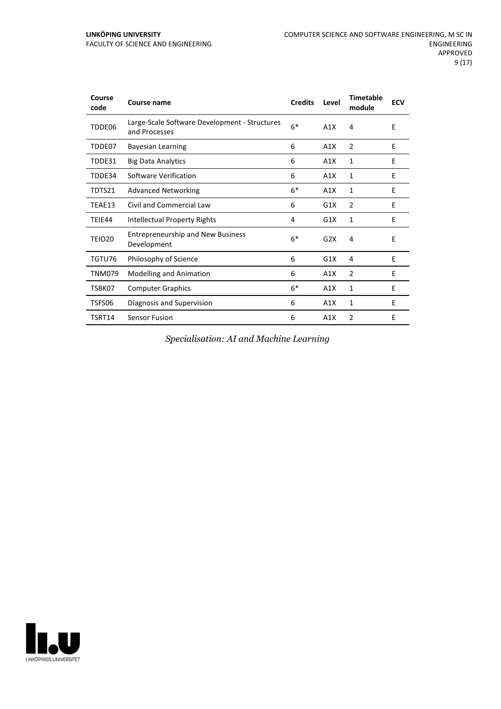| Course<br>code | Course name                                                    | <b>Credits</b> | Level | <b>Timetable</b><br>module | <b>ECV</b> |
|----------------|----------------------------------------------------------------|----------------|-------|----------------------------|------------|
| TDDE06         | Large-Scale Software Development - Structures<br>and Processes | $6*$           | A1X   | 4                          | E          |
| TDDE07         | <b>Bayesian Learning</b>                                       | 6              | A1X   | $\overline{2}$             | E          |
| TDDE31         | <b>Big Data Analytics</b>                                      | 6              | A1X   | $\mathbf{1}$               | E          |
| TDDE34         | Software Verification                                          | 6              | A1X   | 1                          | E          |
| TDTS21         | <b>Advanced Networking</b>                                     | $6*$           | A1X   | 1                          | E          |
| TEAE13         | Civil and Commercial Law                                       | 6              | G1X   | $\overline{2}$             | E          |
| TEIE44         | Intellectual Property Rights                                   | 4              | G1X   | 1                          | E          |
| <b>TEIO20</b>  | <b>Entrepreneurship and New Business</b><br>Development        | $6*$           | G2X   | 4                          | E          |
| TGTU76         | Philosophy of Science                                          | 6              | G1X   | 4                          | E          |
| <b>TNM079</b>  | <b>Modelling and Animation</b>                                 | 6              | A1X   | $\overline{2}$             | E          |
| TSBK07         | <b>Computer Graphics</b>                                       | $6*$           | A1X   | 1                          | E          |
| TSFS06         | Diagnosis and Supervision                                      | 6              | A1X   | 1                          | Е          |
| TSRT14         | Sensor Fusion                                                  | 6              | A1X   | $\overline{2}$             | E          |

*Specialisation: AI and Machine Learning*

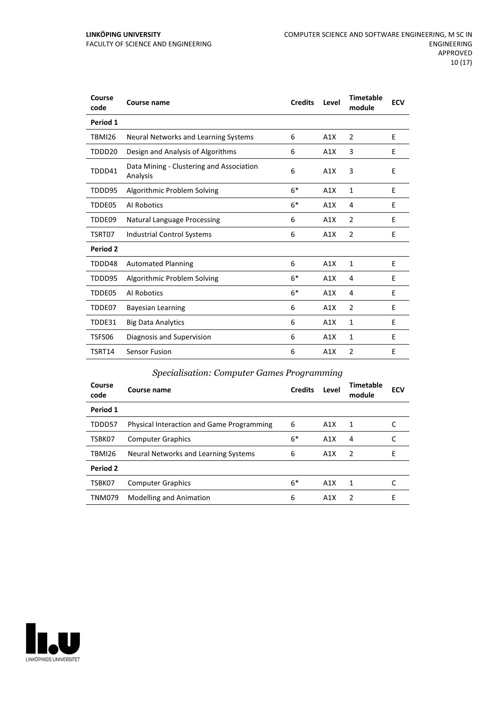| Course<br>code | Course name                                          | <b>Credits</b> | Level | <b>Timetable</b><br>module | <b>ECV</b> |
|----------------|------------------------------------------------------|----------------|-------|----------------------------|------------|
| Period 1       |                                                      |                |       |                            |            |
| <b>TBMI26</b>  | Neural Networks and Learning Systems                 | 6              | A1X   | 2                          | E          |
| TDDD20         | Design and Analysis of Algorithms                    | 6              | A1X   | 3                          | E          |
| TDDD41         | Data Mining - Clustering and Association<br>Analysis | 6              | A1X   | 3                          | E          |
| TDDD95         | Algorithmic Problem Solving                          | $6*$           | A1X   | $\mathbf{1}$               | E          |
| TDDE05         | Al Robotics                                          | $6*$           | A1X   | 4                          | E          |
| TDDE09         | <b>Natural Language Processing</b>                   | 6              | A1X   | $\overline{2}$             | E          |
| TSRT07         | <b>Industrial Control Systems</b>                    | 6              | A1X   | 2                          | E          |
| Period 2       |                                                      |                |       |                            |            |
| TDDD48         | <b>Automated Planning</b>                            | 6              | A1X   | 1                          | E          |
| TDDD95         | Algorithmic Problem Solving                          | $6*$           | A1X   | 4                          | E          |
| TDDE05         | Al Robotics                                          | $6*$           | A1X   | 4                          | E          |
| TDDE07         | <b>Bayesian Learning</b>                             | 6              | A1X   | $\overline{2}$             | E          |
| TDDE31         | <b>Big Data Analytics</b>                            | 6              | A1X   | 1                          | E          |
| TSFS06         | Diagnosis and Supervision                            | 6              | A1X   | 1                          | E          |
| TSRT14         | <b>Sensor Fusion</b>                                 | 6              | A1X   | $\overline{2}$             | Е          |

#### *Specialisation: Computer Games Programming*

| Course<br>code | Course name                                      | <b>Credits</b> | Level | Timetable<br>module | <b>ECV</b> |
|----------------|--------------------------------------------------|----------------|-------|---------------------|------------|
| Period 1       |                                                  |                |       |                     |            |
| TDDD57         | <b>Physical Interaction and Game Programming</b> | 6              | A1X   | $\mathbf{1}$        |            |
| TSBK07         | <b>Computer Graphics</b>                         | $6*$           | A1X   | 4                   |            |
| <b>TBMI26</b>  | Neural Networks and Learning Systems             | 6              | A1X   | 2                   | E          |
| Period 2       |                                                  |                |       |                     |            |
| TSBK07         | <b>Computer Graphics</b>                         | $6*$           | A1X   | 1                   |            |
| <b>TNM079</b>  | <b>Modelling and Animation</b>                   | 6              | A1X   | $\mathcal{P}$       | Е          |

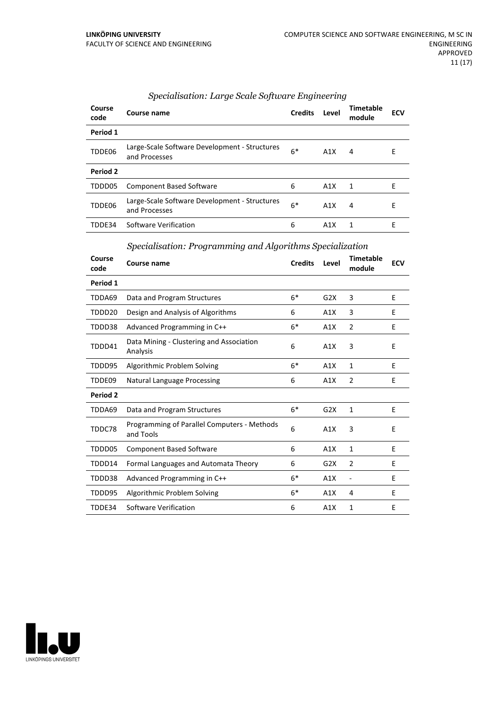| Course<br>code | Course name                                                    | <b>Credits</b> | Level | Timetable<br>module | <b>ECV</b> |
|----------------|----------------------------------------------------------------|----------------|-------|---------------------|------------|
| Period 1       |                                                                |                |       |                     |            |
| TDDE06         | Large-Scale Software Development - Structures<br>and Processes | $6*$           | A1X   | 4                   | E          |
| Period 2       |                                                                |                |       |                     |            |
| TDDD05         | <b>Component Based Software</b>                                | 6              | A1X   | 1                   | F          |
| TDDE06         | Large-Scale Software Development - Structures<br>and Processes | $6*$           | A1X   | 4                   | E          |
| TDDE34         | Software Verification                                          | 6              | A1X   | 1                   | E          |

#### *Specialisation: Large Scale Software Engineering*

*Specialisation: Programming and Algorithms Specialization*

| Course<br>code | <b>Course name</b>                                       | <b>Credits</b> | Level | <b>Timetable</b><br>module | <b>ECV</b> |
|----------------|----------------------------------------------------------|----------------|-------|----------------------------|------------|
| Period 1       |                                                          |                |       |                            |            |
| TDDA69         | Data and Program Structures                              | $6*$           | G2X   | 3                          | E          |
| TDDD20         | Design and Analysis of Algorithms                        | 6              | A1X   | 3                          | E          |
| TDDD38         | Advanced Programming in C++                              | $6*$           | A1X   | $\overline{2}$             | E          |
| TDDD41         | Data Mining - Clustering and Association<br>Analysis     | 6              | A1X   | 3                          | E          |
| TDDD95         | Algorithmic Problem Solving                              | $6*$           | A1X   | 1                          | E          |
| TDDE09         | <b>Natural Language Processing</b>                       | 6              | A1X   | $\overline{2}$             | E          |
| Period 2       |                                                          |                |       |                            |            |
| TDDA69         | Data and Program Structures                              | $6*$           | G2X   | 1                          | E          |
| TDDC78         | Programming of Parallel Computers - Methods<br>and Tools | 6              | A1X   | 3                          | E          |
| TDDD05         | <b>Component Based Software</b>                          | 6              | A1X   | $\mathbf{1}$               | E          |
| TDDD14         | Formal Languages and Automata Theory                     | 6              | G2X   | 2                          | E          |
| TDDD38         | Advanced Programming in C++                              | $6*$           | A1X   | $\overline{\phantom{a}}$   | E          |
| TDDD95         | Algorithmic Problem Solving                              | $6*$           | A1X   | 4                          | E          |
| TDDE34         | Software Verification                                    | 6              | A1X   | $\mathbf{1}$               | F          |

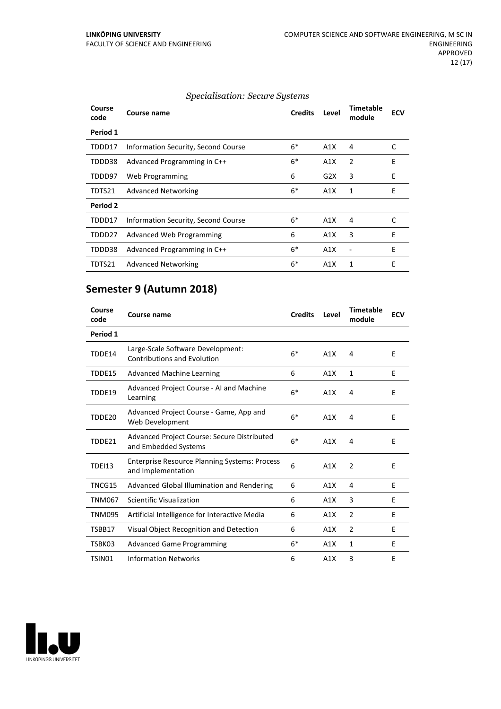#### *Specialisation: Secure Systems*

| Course<br>code | Course name                         | <b>Credits</b> | Level | <b>Timetable</b><br>module | <b>ECV</b> |
|----------------|-------------------------------------|----------------|-------|----------------------------|------------|
| Period 1       |                                     |                |       |                            |            |
| TDDD17         | Information Security, Second Course | $6*$           | A1X   | 4                          | C          |
| TDDD38         | Advanced Programming in C++         | $6*$           | A1X   | 2                          | E          |
| TDDD97         | Web Programming                     | 6              | G2X   | 3                          | E          |
| TDTS21         | <b>Advanced Networking</b>          | $6*$           | A1X   | 1                          | E          |
| Period 2       |                                     |                |       |                            |            |
| TDDD17         | Information Security, Second Course | $6*$           | A1X   | 4                          | C          |
| TDDD27         | Advanced Web Programming            | 6              | A1X   | 3                          | E          |
| TDDD38         | Advanced Programming in C++         | $6*$           | A1X   |                            | E          |
| TDTS21         | <b>Advanced Networking</b>          | $6*$           | A1X   | 1                          | Е          |

### **Semester 9 (Autumn 2018)**

| Course<br>code | Course name                                                                | <b>Credits</b> | Level | <b>Timetable</b><br>module | <b>ECV</b> |
|----------------|----------------------------------------------------------------------------|----------------|-------|----------------------------|------------|
| Period 1       |                                                                            |                |       |                            |            |
| TDDE14         | Large-Scale Software Development:<br><b>Contributions and Evolution</b>    | $6*$           | A1X   | 4                          | E          |
| TDDE15         | <b>Advanced Machine Learning</b>                                           | 6              | A1X   | 1                          | E          |
| TDDE19         | Advanced Project Course - AI and Machine<br>Learning                       | $6*$           | A1X   | 4                          | E          |
| TDDE20         | Advanced Project Course - Game, App and<br>Web Development                 | $6*$           | A1X   | 4                          | E          |
| TDDE21         | Advanced Project Course: Secure Distributed<br>and Embedded Systems        | $6*$           | A1X   | 4                          | E          |
| <b>TDEI13</b>  | <b>Enterprise Resource Planning Systems: Process</b><br>and Implementation | 6              | A1X   | $\overline{2}$             | E          |
| TNCG15         | Advanced Global Illumination and Rendering                                 | 6              | A1X   | 4                          | E          |
| <b>TNM067</b>  | Scientific Visualization                                                   | 6              | A1X   | 3                          | E          |
| <b>TNM095</b>  | Artificial Intelligence for Interactive Media                              | 6              | A1X   | 2                          | E          |
| TSBB17         | Visual Object Recognition and Detection                                    | 6              | A1X   | 2                          | E          |
| TSBK03         | <b>Advanced Game Programming</b>                                           | $6*$           | A1X   | 1                          | E          |
| TSIN01         | <b>Information Networks</b>                                                | 6              | A1X   | 3                          | E          |

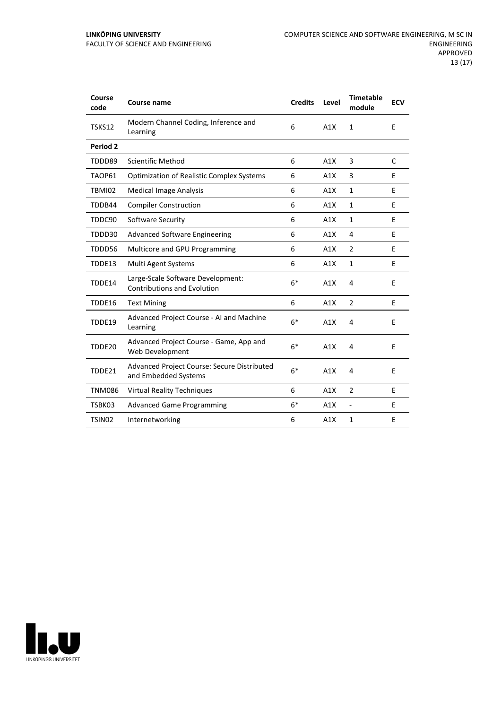| Course<br>code     | <b>Course name</b>                                                      | <b>Credits</b> | Level | <b>Timetable</b><br>module | <b>ECV</b> |
|--------------------|-------------------------------------------------------------------------|----------------|-------|----------------------------|------------|
| TSKS12             | Modern Channel Coding, Inference and<br>Learning                        | 6              | A1X   | $\mathbf{1}$               | E          |
| Period 2           |                                                                         |                |       |                            |            |
| TDDD89             | <b>Scientific Method</b>                                                | 6              | A1X   | 3                          | C          |
| TAOP61             | <b>Optimization of Realistic Complex Systems</b>                        | 6              | A1X   | 3                          | E          |
| TBMI02             | <b>Medical Image Analysis</b>                                           | 6              | A1X   | 1                          | E          |
| TDDB44             | <b>Compiler Construction</b>                                            | 6              | A1X   | $\mathbf{1}$               | E          |
| TDDC90             | Software Security                                                       | 6              | A1X   | $\mathbf{1}$               | E          |
| TDDD30             | <b>Advanced Software Engineering</b>                                    | 6              | A1X   | 4                          | E          |
| TDDD56             | Multicore and GPU Programming                                           | 6              | A1X   | $\overline{2}$             | E          |
| TDDE13             | Multi Agent Systems                                                     | 6              | A1X   | $\mathbf{1}$               | E          |
| TDDE14             | Large-Scale Software Development:<br><b>Contributions and Evolution</b> | $6*$           | A1X   | 4                          | E          |
| TDDE16             | <b>Text Mining</b>                                                      | 6              | A1X   | $\overline{2}$             | E          |
| TDDE19             | Advanced Project Course - AI and Machine<br>Learning                    | $6*$           | A1X   | 4                          | E          |
| TDDE20             | Advanced Project Course - Game, App and<br>Web Development              | $6*$           | A1X   | 4                          | E          |
| TDDE21             | Advanced Project Course: Secure Distributed<br>and Embedded Systems     | $6*$           | A1X   | 4                          | E          |
| <b>TNM086</b>      | <b>Virtual Reality Techniques</b>                                       | 6              | A1X   | $\overline{2}$             | E          |
| TSBK03             | <b>Advanced Game Programming</b>                                        | $6*$           | A1X   | $\frac{1}{2}$              | Е          |
| TSIN <sub>02</sub> | Internetworking                                                         | 6              | A1X   | $\mathbf{1}$               | E          |

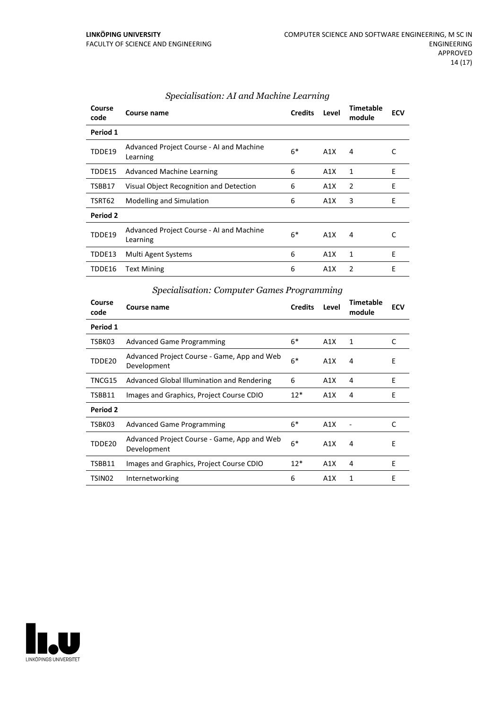| Course<br>code  | Course name                                          | <b>Credits</b> | Level | Timetable<br>module | <b>ECV</b> |
|-----------------|------------------------------------------------------|----------------|-------|---------------------|------------|
| Period 1        |                                                      |                |       |                     |            |
| TDDE19          | Advanced Project Course - AI and Machine<br>Learning | $6*$           | A1X   | 4                   | C          |
| TDDE15          | Advanced Machine Learning                            | 6              | A1X   | 1                   | E          |
| TSBB17          | Visual Object Recognition and Detection              | 6              | A1X   | 2                   | E          |
| TSRT62          | Modelling and Simulation                             | 6              | A1X   | 3                   | E          |
| <b>Period 2</b> |                                                      |                |       |                     |            |
| TDDE19          | Advanced Project Course - AI and Machine<br>Learning | $6*$           | A1X   | 4                   |            |
| TDDE13          | Multi Agent Systems                                  | 6              | A1X   | 1                   | E          |
| TDDE16          | <b>Text Mining</b>                                   | 6              | A1X   | 2                   | E          |

#### *Specialisation: AI and Machine Learning*

| <i>Specialisation: Computer Games Programming</i> |                                                            |                |       |                            |            |  |
|---------------------------------------------------|------------------------------------------------------------|----------------|-------|----------------------------|------------|--|
| Course<br>code                                    | Course name                                                | <b>Credits</b> | Level | <b>Timetable</b><br>module | <b>ECV</b> |  |
| Period 1                                          |                                                            |                |       |                            |            |  |
| TSBK03                                            | <b>Advanced Game Programming</b>                           | $6*$           | A1X   | 1                          | C          |  |
| TDDE20                                            | Advanced Project Course - Game, App and Web<br>Development | $6*$           | A1X   | 4                          | E          |  |
| TNCG15                                            | Advanced Global Illumination and Rendering                 | 6              | A1X   | 4                          | E          |  |
| TSBB11                                            | Images and Graphics, Project Course CDIO                   | $12*$          | A1X   | 4                          | E          |  |
| Period 2                                          |                                                            |                |       |                            |            |  |
| TSBK03                                            | <b>Advanced Game Programming</b>                           | $6*$           | A1X   |                            | C          |  |
| TDDE20                                            | Advanced Project Course - Game, App and Web<br>Development | $6*$           | A1X   | 4                          | E          |  |
| TSBB11                                            | Images and Graphics, Project Course CDIO                   | $12*$          | A1X   | 4                          | E          |  |
| TSIN02                                            | Internetworking                                            | 6              | A1X   | 1                          | E          |  |



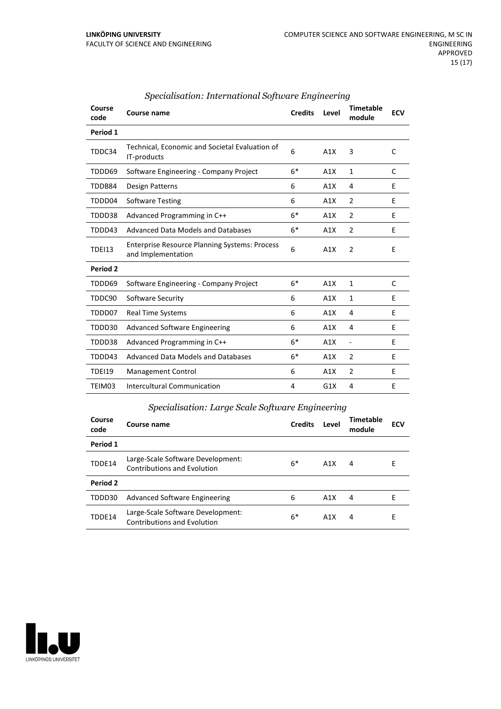| Course<br>code | Course name                                                                | <b>Credits</b> | Level | <b>Timetable</b><br>module | <b>ECV</b> |
|----------------|----------------------------------------------------------------------------|----------------|-------|----------------------------|------------|
| Period 1       |                                                                            |                |       |                            |            |
| TDDC34         | Technical, Economic and Societal Evaluation of<br>IT-products              | 6              | A1X   | 3                          | C          |
| TDDD69         | Software Engineering - Company Project                                     | $6*$           | A1X   | 1                          | C          |
| TDDB84         | Design Patterns                                                            | 6              | A1X   | 4                          | E          |
| TDDD04         | <b>Software Testing</b>                                                    | 6              | A1X   | $\overline{2}$             | E          |
| TDDD38         | Advanced Programming in C++                                                | $6*$           | A1X   | $\overline{2}$             | E          |
| TDDD43         | Advanced Data Models and Databases                                         | $6*$           | A1X   | $\overline{2}$             | E          |
| <b>TDEI13</b>  | <b>Enterprise Resource Planning Systems: Process</b><br>and Implementation | 6              | A1X   | $\overline{2}$             | E          |
| Period 2       |                                                                            |                |       |                            |            |
| TDDD69         | Software Engineering - Company Project                                     | $6*$           | A1X   | $\mathbf{1}$               | C          |
| TDDC90         | Software Security                                                          | 6              | A1X   | $\mathbf{1}$               | E          |
| TDDD07         | <b>Real Time Systems</b>                                                   | 6              | A1X   | 4                          | E          |
| TDDD30         | <b>Advanced Software Engineering</b>                                       | 6              | A1X   | 4                          | F          |
| TDDD38         | Advanced Programming in C++                                                | $6*$           | A1X   | $\overline{a}$             | E          |
| TDDD43         | Advanced Data Models and Databases                                         | $6*$           | A1X   | $\overline{2}$             | E          |
| <b>TDEI19</b>  | Management Control                                                         | 6              | A1X   | $\overline{2}$             | E          |
| TEIM03         | Intercultural Communication                                                | 4              | G1X   | 4                          | E          |
|                |                                                                            |                |       |                            |            |

#### *Specialisation: International Software Engineering*

| Specialisation: Large Scale Software Engineering |  |
|--------------------------------------------------|--|
|                                                  |  |

| Course<br>code | Course name                                                             | <b>Credits</b> | Level | <b>Timetable</b><br>module | <b>ECV</b> |
|----------------|-------------------------------------------------------------------------|----------------|-------|----------------------------|------------|
| Period 1       |                                                                         |                |       |                            |            |
| TDDE14         | Large-Scale Software Development:<br><b>Contributions and Evolution</b> | $6*$           | A1X   | 4                          | E          |
| Period 2       |                                                                         |                |       |                            |            |
| TDDD30         | Advanced Software Engineering                                           | 6              | A1X   | 4                          | F          |
| TDDE14         | Large-Scale Software Development:<br><b>Contributions and Evolution</b> | 6*             | A1X   | 4                          | Е          |

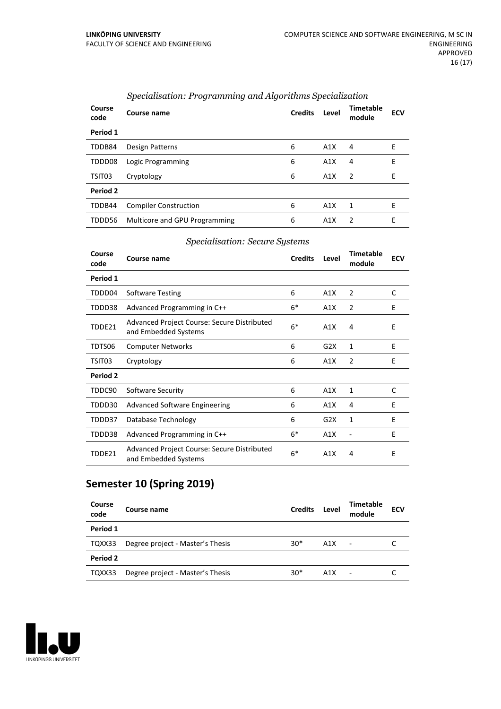| Course<br>code | Course name                   | <b>Credits</b> | Level | <b>Timetable</b><br>module | <b>ECV</b> |
|----------------|-------------------------------|----------------|-------|----------------------------|------------|
| Period 1       |                               |                |       |                            |            |
| TDDB84         | Design Patterns               | 6              | A1X   | 4                          | Е          |
| TDDD08         | Logic Programming             | 6              | A1X   | 4                          | E          |
| TSIT03         | Cryptology                    | 6              | A1X   | -2                         | F          |
| Period 2       |                               |                |       |                            |            |
| TDDB44         | <b>Compiler Construction</b>  | 6              | A1X   | 1                          | F          |
| TDDD56         | Multicore and GPU Programming | 6              | A1X   | 2                          | E          |

#### *Specialisation: Programming and Algorithms Specialization*

#### *Specialisation: Secure Systems*

| Course<br>code | Course name                                                         | <b>Credits</b> | Level | <b>Timetable</b><br>module | <b>ECV</b> |
|----------------|---------------------------------------------------------------------|----------------|-------|----------------------------|------------|
| Period 1       |                                                                     |                |       |                            |            |
| TDDD04         | Software Testing                                                    | 6              | A1X   | $\overline{2}$             | C          |
| TDDD38         | Advanced Programming in C++                                         | $6*$           | A1X   | $\overline{2}$             | E          |
| TDDE21         | Advanced Project Course: Secure Distributed<br>and Embedded Systems | $6*$           | A1X   | 4                          | Е          |
| TDTS06         | <b>Computer Networks</b>                                            | 6              | G2X   | $\mathbf{1}$               | E          |
| TSIT03         | Cryptology                                                          | 6              | A1X   | $\overline{2}$             | F          |
| Period 2       |                                                                     |                |       |                            |            |
| TDDC90         | Software Security                                                   | 6              | A1X   | $\mathbf{1}$               | C          |
| TDDD30         | <b>Advanced Software Engineering</b>                                | 6              | A1X   | 4                          | E          |
| TDDD37         | Database Technology                                                 | 6              | G2X   | 1                          | E          |
| TDDD38         | Advanced Programming in C++                                         | $6*$           | A1X   |                            | E          |
| TDDE21         | Advanced Project Course: Secure Distributed<br>and Embedded Systems | $6*$           | A1X   | 4                          | E          |

### **Semester 10 (Spring 2019)**

| Course<br>code | Course name                      | <b>Credits</b> | Level | Timetable<br>module      | <b>ECV</b> |
|----------------|----------------------------------|----------------|-------|--------------------------|------------|
| Period 1       |                                  |                |       |                          |            |
| TQXX33         | Degree project - Master's Thesis | $30*$          | A1X   | $\overline{\phantom{a}}$ |            |
| Period 2       |                                  |                |       |                          |            |
| TQXX33         | Degree project - Master's Thesis | $30*$          | A1X   | $\overline{\phantom{0}}$ |            |